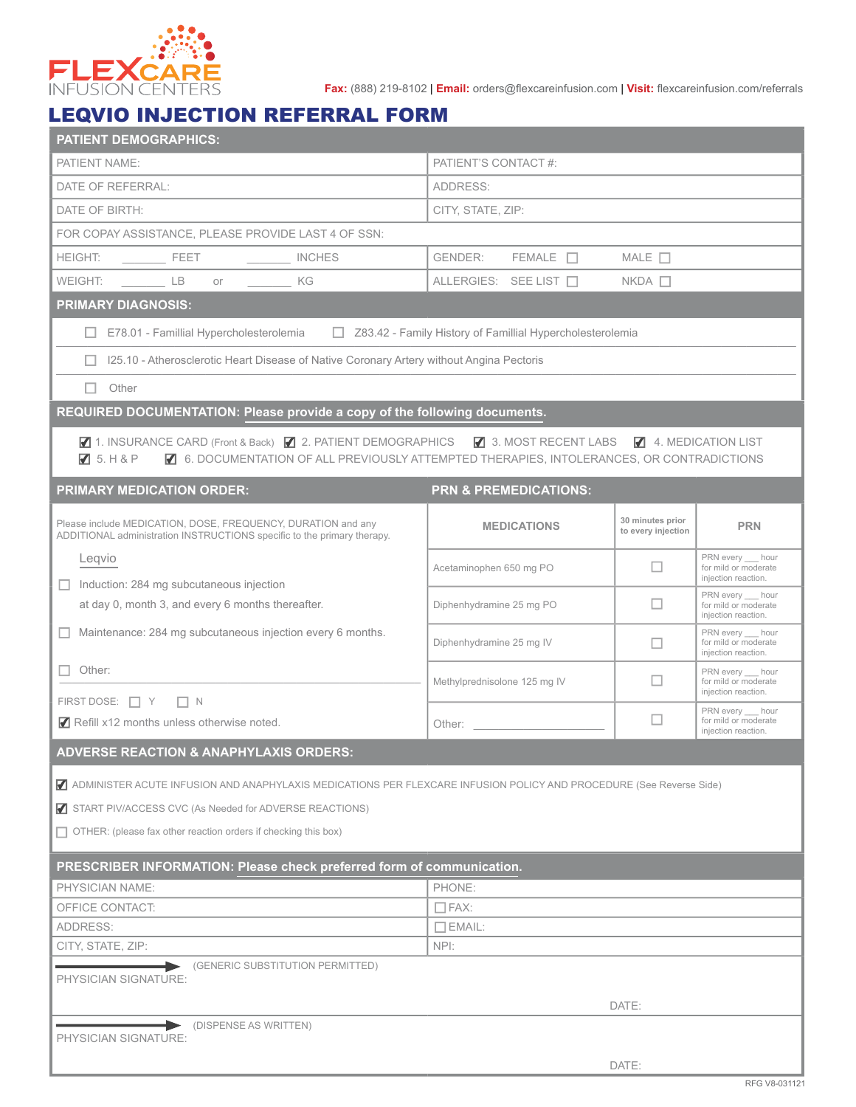

**Fax:** (888) 219-8102 | **Email:** orders@flexcareinfusion.com | **Visit:** flexcareinfusion.com/referrals

## LEQVIO INJECTION REFERRAL FORM

| <b>PATIENT DEMOGRAPHICS:</b>                                                                                                            |                                                             |                                        |                                                               |  |  |  |  |
|-----------------------------------------------------------------------------------------------------------------------------------------|-------------------------------------------------------------|----------------------------------------|---------------------------------------------------------------|--|--|--|--|
| PATIENT NAME:                                                                                                                           | PATIENT'S CONTACT #:                                        |                                        |                                                               |  |  |  |  |
| DATE OF REFERRAL:                                                                                                                       | ADDRESS:                                                    |                                        |                                                               |  |  |  |  |
| DATE OF BIRTH:                                                                                                                          | CITY, STATE, ZIP:                                           |                                        |                                                               |  |  |  |  |
| FOR COPAY ASSISTANCE, PLEASE PROVIDE LAST 4 OF SSN:                                                                                     |                                                             |                                        |                                                               |  |  |  |  |
| <b>HEIGHT:</b><br><b>Example 1</b> FEET<br><b>INCHES</b>                                                                                | GENDER:<br>$FEMALE$ $\Box$                                  | MALE $\Box$                            |                                                               |  |  |  |  |
| WEIGHT:<br>LB<br>KG<br>or                                                                                                               | ALLERGIES: SEE LIST □<br>$NKDA$ $\Box$                      |                                        |                                                               |  |  |  |  |
| <b>PRIMARY DIAGNOSIS:</b>                                                                                                               |                                                             |                                        |                                                               |  |  |  |  |
| E78.01 - Famillial Hypercholesterolemia                                                                                                 | □ Z83.42 - Family History of Famillial Hypercholesterolemia |                                        |                                                               |  |  |  |  |
| 125.10 - Atherosclerotic Heart Disease of Native Coronary Artery without Angina Pectoris                                                |                                                             |                                        |                                                               |  |  |  |  |
| Other                                                                                                                                   |                                                             |                                        |                                                               |  |  |  |  |
| REQUIRED DOCUMENTATION: Please provide a copy of the following documents.                                                               |                                                             |                                        |                                                               |  |  |  |  |
| ■ 1. INSURANCE CARD (Front & Back) ■ 2. PATIENT DEMOGRAPHICS ■ 3. MOST RECENT LABS ■ 4. MEDICATION LIST                                 |                                                             |                                        |                                                               |  |  |  |  |
| ■ 6. DOCUMENTATION OF ALL PREVIOUSLY ATTEMPTED THERAPIES, INTOLERANCES, OR CONTRADICTIONS<br>75. H8P                                    |                                                             |                                        |                                                               |  |  |  |  |
| <b>PRIMARY MEDICATION ORDER:</b>                                                                                                        | <b>PRN &amp; PREMEDICATIONS:</b>                            |                                        |                                                               |  |  |  |  |
|                                                                                                                                         |                                                             |                                        |                                                               |  |  |  |  |
| Please include MEDICATION, DOSE, FREQUENCY, DURATION and any<br>ADDITIONAL administration INSTRUCTIONS specific to the primary therapy. | <b>MEDICATIONS</b>                                          | 30 minutes prior<br>to every injection | <b>PRN</b>                                                    |  |  |  |  |
| Leqvio                                                                                                                                  |                                                             |                                        | PRN every hour                                                |  |  |  |  |
| Induction: 284 mg subcutaneous injection                                                                                                | Acetaminophen 650 mg PO                                     | □                                      | for mild or moderate<br>injection reaction.                   |  |  |  |  |
| at day 0, month 3, and every 6 months thereafter.                                                                                       | Diphenhydramine 25 mg PO                                    | $\Box$                                 | PRN every hour<br>for mild or moderate                        |  |  |  |  |
| Maintenance: 284 mg subcutaneous injection every 6 months.                                                                              |                                                             |                                        | injection reaction.<br>PRN every hour                         |  |  |  |  |
|                                                                                                                                         | Diphenhydramine 25 mg IV                                    | п                                      | for mild or moderate<br>injection reaction.                   |  |  |  |  |
| Other:                                                                                                                                  | Methylprednisolone 125 mg IV                                | п                                      | PRN every __ hour<br>for mild or moderate                     |  |  |  |  |
| FIRST DOSE: □ Y □ N                                                                                                                     |                                                             |                                        | injection reaction.                                           |  |  |  |  |
| Refill x12 months unless otherwise noted.                                                                                               | Other:                                                      | $\Box$                                 | PRN every hour<br>for mild or moderate<br>injection reaction. |  |  |  |  |
| <b>ADVERSE REACTION &amp; ANAPHYLAXIS ORDERS:</b>                                                                                       |                                                             |                                        |                                                               |  |  |  |  |
| ADMINISTER ACUTE INFUSION AND ANAPHYLAXIS MEDICATIONS PER FLEXCARE INFUSION POLICY AND PROCEDURE (See Reverse Side)                     |                                                             |                                        |                                                               |  |  |  |  |
| START PIV/ACCESS CVC (As Needed for ADVERSE REACTIONS)                                                                                  |                                                             |                                        |                                                               |  |  |  |  |
| $\Box$ OTHER: (please fax other reaction orders if checking this box)                                                                   |                                                             |                                        |                                                               |  |  |  |  |
|                                                                                                                                         |                                                             |                                        |                                                               |  |  |  |  |
| PRESCRIBER INFORMATION: Please check preferred form of communication.                                                                   |                                                             |                                        |                                                               |  |  |  |  |
| PHYSICIAN NAME:                                                                                                                         | PHONE:                                                      |                                        |                                                               |  |  |  |  |
| OFFICE CONTACT:<br>ADDRESS:                                                                                                             | $\Box$ EMAIL:                                               | $\Box$ FAX:                            |                                                               |  |  |  |  |
| CITY, STATE, ZIP:                                                                                                                       | NPI:                                                        |                                        |                                                               |  |  |  |  |
| (GENERIC SUBSTITUTION PERMITTED)                                                                                                        |                                                             |                                        |                                                               |  |  |  |  |
| PHYSICIAN SIGNATURE:                                                                                                                    |                                                             |                                        |                                                               |  |  |  |  |
|                                                                                                                                         |                                                             | DATE:                                  |                                                               |  |  |  |  |
| DISPENSE AS WRITTEN)<br>PHYSICIAN SIGNATURE:                                                                                            |                                                             |                                        |                                                               |  |  |  |  |
|                                                                                                                                         |                                                             | DATE:                                  |                                                               |  |  |  |  |
|                                                                                                                                         |                                                             |                                        | RFG V8-031121                                                 |  |  |  |  |